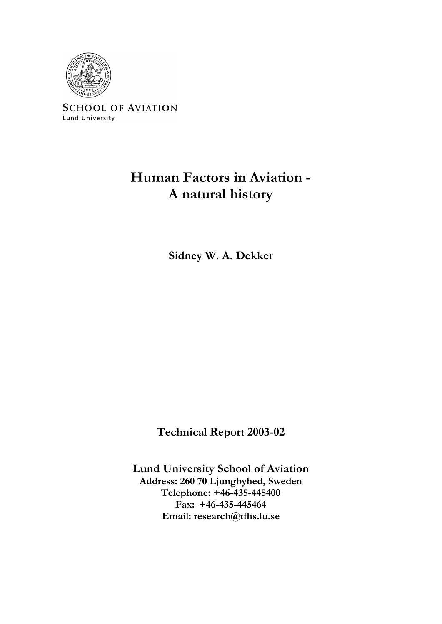

**SCHOOL OF AVIATION** Lund University

# **Human Factors in Aviation - A natural history**

**Sidney W. A. Dekker** 

**Technical Report 2003-02** 

**Lund University School of Aviation Address: 260 70 Ljungbyhed, Sweden Telephone: +46-435-445400 Fax: +46-435-445464 Email: research@tfhs.lu.se**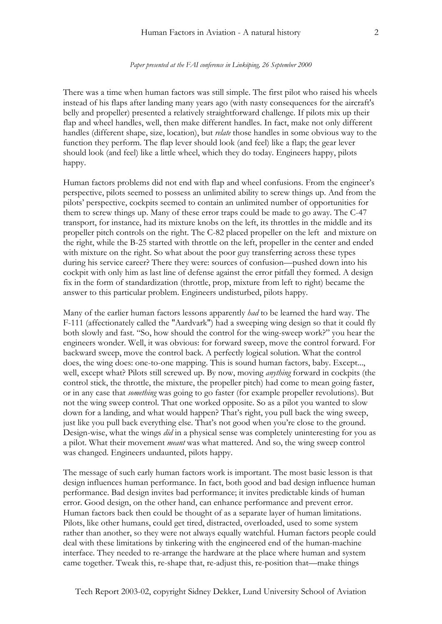#### *Paper presented at the FAI conference in Linköping, 26 September 2000*

There was a time when human factors was still simple. The first pilot who raised his wheels instead of his flaps after landing many years ago (with nasty consequences for the aircraft's belly and propeller) presented a relatively straightforward challenge. If pilots mix up their flap and wheel handles, well, then make different handles. In fact, make not only different handles (different shape, size, location), but *relate* those handles in some obvious way to the function they perform. The flap lever should look (and feel) like a flap; the gear lever should look (and feel) like a little wheel, which they do today. Engineers happy, pilots happy.

Human factors problems did not end with flap and wheel confusions. From the engineer's perspective, pilots seemed to possess an unlimited ability to screw things up. And from the pilots' perspective, cockpits seemed to contain an unlimited number of opportunities for them to screw things up. Many of these error traps could be made to go away. The C-47 transport, for instance, had its mixture knobs on the left, its throttles in the middle and its propeller pitch controls on the right. The C-82 placed propeller on the left and mixture on the right, while the B-25 started with throttle on the left, propeller in the center and ended with mixture on the right. So what about the poor guy transferring across these types during his service career? There they were: sources of confusion—pushed down into his cockpit with only him as last line of defense against the error pitfall they formed. A design fix in the form of standardization (throttle, prop, mixture from left to right) became the answer to this particular problem. Engineers undisturbed, pilots happy.

Many of the earlier human factors lessons apparently *had* to be learned the hard way. The F-111 (affectionately called the "Aardvark") had a sweeping wing design so that it could fly both slowly and fast. "So, how should the control for the wing-sweep work?" you hear the engineers wonder. Well, it was obvious: for forward sweep, move the control forward. For backward sweep, move the control back. A perfectly logical solution. What the control does, the wing does: one-to-one mapping. This is sound human factors, baby. Except..., well, except what? Pilots still screwed up. By now, moving *anything* forward in cockpits (the control stick, the throttle, the mixture, the propeller pitch) had come to mean going faster, or in any case that *something* was going to go faster (for example propeller revolutions). But not the wing sweep control. That one worked opposite. So as a pilot you wanted to slow down for a landing, and what would happen? That's right, you pull back the wing sweep, just like you pull back everything else. That's not good when you're close to the ground. Design-wise, what the wings *did* in a physical sense was completely uninteresting for you as a pilot. What their movement *meant* was what mattered. And so, the wing sweep control was changed. Engineers undaunted, pilots happy.

The message of such early human factors work is important. The most basic lesson is that design influences human performance. In fact, both good and bad design influence human performance. Bad design invites bad performance; it invites predictable kinds of human error. Good design, on the other hand, can enhance performance and prevent error. Human factors back then could be thought of as a separate layer of human limitations. Pilots, like other humans, could get tired, distracted, overloaded, used to some system rather than another, so they were not always equally watchful. Human factors people could deal with these limitations by tinkering with the engineered end of the human-machine interface. They needed to re-arrange the hardware at the place where human and system came together. Tweak this, re-shape that, re-adjust this, re-position that—make things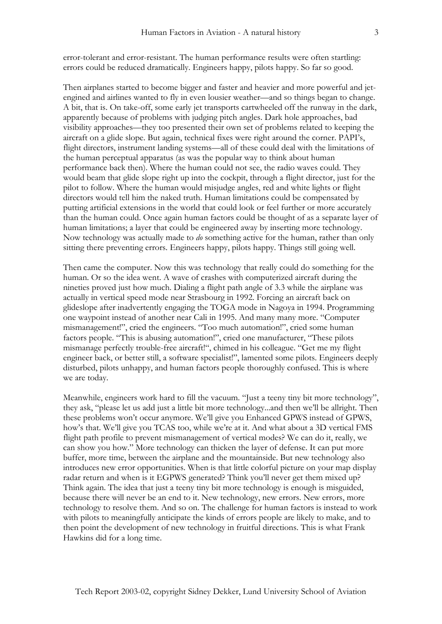error-tolerant and error-resistant. The human performance results were often startling: errors could be reduced dramatically. Engineers happy, pilots happy. So far so good.

Then airplanes started to become bigger and faster and heavier and more powerful and jetengined and airlines wanted to fly in even lousier weather—and so things began to change. A bit, that is. On take-off, some early jet transports cartwheeled off the runway in the dark, apparently because of problems with judging pitch angles. Dark hole approaches, bad visibility approaches—they too presented their own set of problems related to keeping the aircraft on a glide slope. But again, technical fixes were right around the corner. PAPI's, flight directors, instrument landing systems—all of these could deal with the limitations of the human perceptual apparatus (as was the popular way to think about human performance back then). Where the human could not see, the radio waves could. They would beam that glide slope right up into the cockpit, through a flight director, just for the pilot to follow. Where the human would misjudge angles, red and white lights or flight directors would tell him the naked truth. Human limitations could be compensated by putting artificial extensions in the world that could look or feel further or more accurately than the human could. Once again human factors could be thought of as a separate layer of human limitations; a layer that could be engineered away by inserting more technology. Now technology was actually made to *do* something active for the human, rather than only sitting there preventing errors. Engineers happy, pilots happy. Things still going well.

Then came the computer. Now this was technology that really could do something for the human. Or so the idea went. A wave of crashes with computerized aircraft during the nineties proved just how much. Dialing a flight path angle of 3.3 while the airplane was actually in vertical speed mode near Strasbourg in 1992. Forcing an aircraft back on glideslope after inadvertently engaging the TOGA mode in Nagoya in 1994. Programming one waypoint instead of another near Cali in 1995. And many many more. "Computer mismanagement!", cried the engineers. "Too much automation!", cried some human factors people. "This is abusing automation!", cried one manufacturer, "These pilots mismanage perfectly trouble-free aircraft!", chimed in his colleague. "Get me my flight engineer back, or better still, a software specialist!", lamented some pilots. Engineers deeply disturbed, pilots unhappy, and human factors people thoroughly confused. This is where we are today.

Meanwhile, engineers work hard to fill the vacuum. "Just a teeny tiny bit more technology", they ask, "please let us add just a little bit more technology...and then we'll be allright. Then these problems won't occur anymore. We'll give you Enhanced GPWS instead of GPWS, how's that. We'll give you TCAS too, while we're at it. And what about a 3D vertical FMS flight path profile to prevent mismanagement of vertical modes? We can do it, really, we can show you how." More technology can thicken the layer of defense. It can put more buffer, more time, between the airplane and the mountainside. But new technology also introduces new error opportunities. When is that little colorful picture on your map display radar return and when is it EGPWS generated? Think you'll never get them mixed up? Think again. The idea that just a teeny tiny bit more technology is enough is misguided, because there will never be an end to it. New technology, new errors. New errors, more technology to resolve them. And so on. The challenge for human factors is instead to work with pilots to meaningfully anticipate the kinds of errors people are likely to make, and to then point the development of new technology in fruitful directions. This is what Frank Hawkins did for a long time.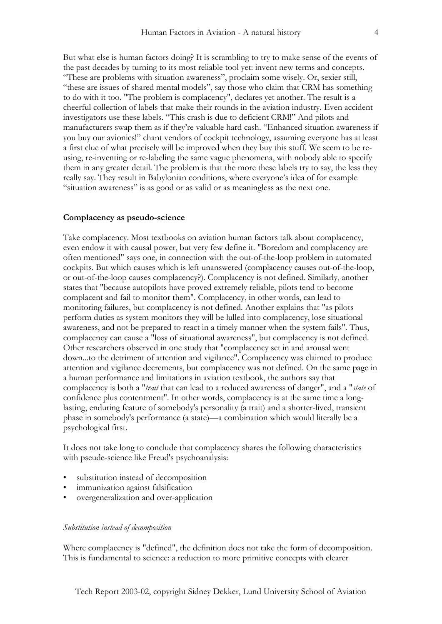But what else is human factors doing? It is scrambling to try to make sense of the events of the past decades by turning to its most reliable tool yet: invent new terms and concepts. "These are problems with situation awareness", proclaim some wisely. Or, sexier still, "these are issues of shared mental models", say those who claim that CRM has something to do with it too. "The problem is complacency", declares yet another. The result is a cheerful collection of labels that make their rounds in the aviation industry. Even accident investigators use these labels. "This crash is due to deficient CRM!" And pilots and manufacturers swap them as if they're valuable hard cash. "Enhanced situation awareness if you buy our avionics!" chant vendors of cockpit technology, assuming everyone has at least a first clue of what precisely will be improved when they buy this stuff. We seem to be reusing, re-inventing or re-labeling the same vague phenomena, with nobody able to specify them in any greater detail. The problem is that the more these labels try to say, the less they really say. They result in Babylonian conditions, where everyone's idea of for example "situation awareness" is as good or as valid or as meaningless as the next one.

# **Complacency as pseudo-science**

Take complacency. Most textbooks on aviation human factors talk about complacency, even endow it with causal power, but very few define it. "Boredom and complacency are often mentioned" says one, in connection with the out-of-the-loop problem in automated cockpits. But which causes which is left unanswered (complacency causes out-of-the-loop, or out-of-the-loop causes complacency?). Complacency is not defined. Similarly, another states that "because autopilots have proved extremely reliable, pilots tend to become complacent and fail to monitor them". Complacency, in other words, can lead to monitoring failures, but complacency is not defined. Another explains that "as pilots perform duties as system monitors they will be lulled into complacency, lose situational awareness, and not be prepared to react in a timely manner when the system fails". Thus, complacency can cause a "loss of situational awareness", but complacency is not defined. Other researchers observed in one study that "complacency set in and arousal went down...to the detriment of attention and vigilance". Complacency was claimed to produce attention and vigilance decrements, but complacency was not defined. On the same page in a human performance and limitations in aviation textbook, the authors say that complacency is both a "*trait* that can lead to a reduced awareness of danger", and a "*state* of confidence plus contentment". In other words, complacency is at the same time a longlasting, enduring feature of somebody's personality (a trait) and a shorter-lived, transient phase in somebody's performance (a state)—a combination which would literally be a psychological first.

It does not take long to conclude that complacency shares the following characteristics with pseude-science like Freud's psychoanalysis:

- substitution instead of decomposition
- immunization against falsification
- overgeneralization and over-application

# *Substitution instead of decomposition*

Where complacency is "defined", the definition does not take the form of decomposition. This is fundamental to science: a reduction to more primitive concepts with clearer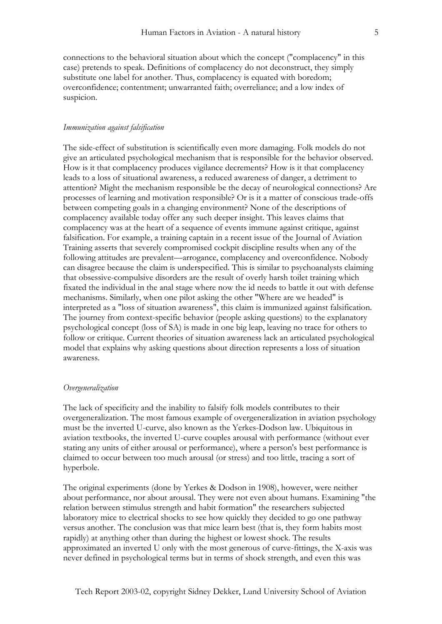connections to the behavioral situation about which the concept ("complacency" in this case) pretends to speak. Definitions of complacency do not deconstruct, they simply substitute one label for another. Thus, complacency is equated with boredom; overconfidence; contentment; unwarranted faith; overreliance; and a low index of suspicion.

## *Immunization against falsification*

The side-effect of substitution is scientifically even more damaging. Folk models do not give an articulated psychological mechanism that is responsible for the behavior observed. How is it that complacency produces vigilance decrements? How is it that complacency leads to a loss of situational awareness, a reduced awareness of danger, a detriment to attention? Might the mechanism responsible be the decay of neurological connections? Are processes of learning and motivation responsible? Or is it a matter of conscious trade-offs between competing goals in a changing environment? None of the descriptions of complacency available today offer any such deeper insight. This leaves claims that complacency was at the heart of a sequence of events immune against critique, against falsification. For example, a training captain in a recent issue of the Journal of Aviation Training asserts that severely compromised cockpit discipline results when any of the following attitudes are prevalent—arrogance, complacency and overconfidence. Nobody can disagree because the claim is underspecified. This is similar to psychoanalysts claiming that obsessive-compulsive disorders are the result of overly harsh toilet training which fixated the individual in the anal stage where now the id needs to battle it out with defense mechanisms. Similarly, when one pilot asking the other "Where are we headed" is interpreted as a "loss of situation awareness", this claim is immunized against falsification. The journey from context-specific behavior (people asking questions) to the explanatory psychological concept (loss of SA) is made in one big leap, leaving no trace for others to follow or critique. Current theories of situation awareness lack an articulated psychological model that explains why asking questions about direction represents a loss of situation awareness.

# *Overgeneralization*

The lack of specificity and the inability to falsify folk models contributes to their overgeneralization. The most famous example of overgeneralization in aviation psychology must be the inverted U-curve, also known as the Yerkes-Dodson law. Ubiquitous in aviation textbooks, the inverted U-curve couples arousal with performance (without ever stating any units of either arousal or performance), where a person's best performance is claimed to occur between too much arousal (or stress) and too little, tracing a sort of hyperbole.

The original experiments (done by Yerkes & Dodson in 1908), however, were neither about performance, nor about arousal. They were not even about humans. Examining "the relation between stimulus strength and habit formation" the researchers subjected laboratory mice to electrical shocks to see how quickly they decided to go one pathway versus another. The conclusion was that mice learn best (that is, they form habits most rapidly) at anything other than during the highest or lowest shock. The results approximated an inverted U only with the most generous of curve-fittings, the X-axis was never defined in psychological terms but in terms of shock strength, and even this was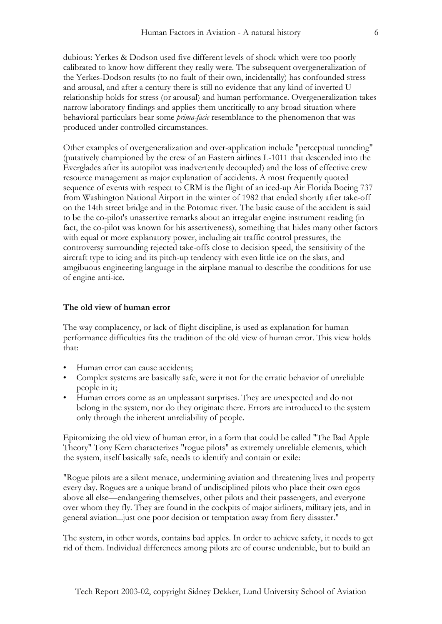dubious: Yerkes & Dodson used five different levels of shock which were too poorly calibrated to know how different they really were. The subsequent overgeneralization of the Yerkes-Dodson results (to no fault of their own, incidentally) has confounded stress and arousal, and after a century there is still no evidence that any kind of inverted U relationship holds for stress (or arousal) and human performance. Overgeneralization takes narrow laboratory findings and applies them uncritically to any broad situation where behavioral particulars bear some *prima-facie* resemblance to the phenomenon that was produced under controlled circumstances.

Other examples of overgeneralization and over-application include "perceptual tunneling" (putatively championed by the crew of an Eastern airlines L-1011 that descended into the Everglades after its autopilot was inadvertently decoupled) and the loss of effective crew resource management as major explanation of accidents. A most frequently quoted sequence of events with respect to CRM is the flight of an iced-up Air Florida Boeing 737 from Washington National Airport in the winter of 1982 that ended shortly after take-off on the 14th street bridge and in the Potomac river. The basic cause of the accident is said to be the co-pilot's unassertive remarks about an irregular engine instrument reading (in fact, the co-pilot was known for his assertiveness), something that hides many other factors with equal or more explanatory power, including air traffic control pressures, the controversy surrounding rejected take-offs close to decision speed, the sensitivity of the aircraft type to icing and its pitch-up tendency with even little ice on the slats, and amgibuous engineering language in the airplane manual to describe the conditions for use of engine anti-ice.

# **The old view of human error**

The way complacency, or lack of flight discipline, is used as explanation for human performance difficulties fits the tradition of the old view of human error. This view holds that:

- Human error can cause accidents;
- Complex systems are basically safe, were it not for the erratic behavior of unreliable people in it;
- Human errors come as an unpleasant surprises. They are unexpected and do not belong in the system, nor do they originate there. Errors are introduced to the system only through the inherent unreliability of people.

Epitomizing the old view of human error, in a form that could be called "The Bad Apple Theory" Tony Kern characterizes "rogue pilots" as extremely unreliable elements, which the system, itself basically safe, needs to identify and contain or exile:

"Rogue pilots are a silent menace, undermining aviation and threatening lives and property every day. Rogues are a unique brand of undisciplined pilots who place their own egos above all else—endangering themselves, other pilots and their passengers, and everyone over whom they fly. They are found in the cockpits of major airliners, military jets, and in general aviation...just one poor decision or temptation away from fiery disaster."

The system, in other words, contains bad apples. In order to achieve safety, it needs to get rid of them. Individual differences among pilots are of course undeniable, but to build an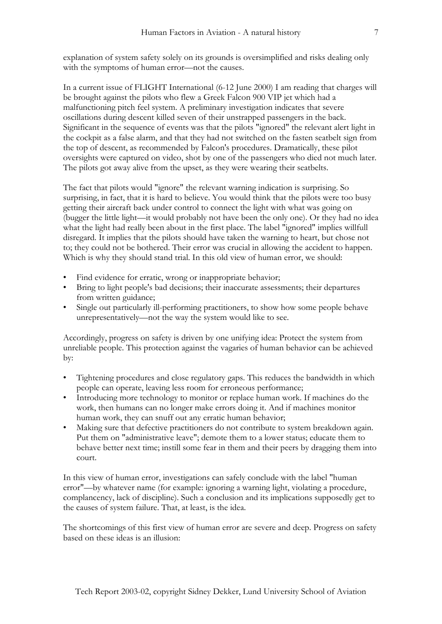explanation of system safety solely on its grounds is oversimplified and risks dealing only with the symptoms of human error—not the causes.

In a current issue of FLIGHT International (6-12 June 2000) I am reading that charges will be brought against the pilots who flew a Greek Falcon 900 VIP jet which had a malfunctioning pitch feel system. A preliminary investigation indicates that severe oscillations during descent killed seven of their unstrapped passengers in the back. Significant in the sequence of events was that the pilots "ignored" the relevant alert light in the cockpit as a false alarm, and that they had not switched on the fasten seatbelt sign from the top of descent, as recommended by Falcon's procedures. Dramatically, these pilot oversights were captured on video, shot by one of the passengers who died not much later. The pilots got away alive from the upset, as they were wearing their seatbelts.

The fact that pilots would "ignore" the relevant warning indication is surprising. So surprising, in fact, that it is hard to believe. You would think that the pilots were too busy getting their aircraft back under control to connect the light with what was going on (bugger the little light—it would probably not have been the only one). Or they had no idea what the light had really been about in the first place. The label "ignored" implies willfull disregard. It implies that the pilots should have taken the warning to heart, but chose not to; they could not be bothered. Their error was crucial in allowing the accident to happen. Which is why they should stand trial. In this old view of human error, we should:

- Find evidence for erratic, wrong or inappropriate behavior;
- Bring to light people's bad decisions; their inaccurate assessments; their departures from written guidance;
- Single out particularly ill-performing practitioners, to show how some people behave unrepresentatively—not the way the system would like to see.

Accordingly, progress on safety is driven by one unifying idea: Protect the system from unreliable people. This protection against the vagaries of human behavior can be achieved by:

- Tightening procedures and close regulatory gaps. This reduces the bandwidth in which people can operate, leaving less room for erroneous performance;
- Introducing more technology to monitor or replace human work. If machines do the work, then humans can no longer make errors doing it. And if machines monitor human work, they can snuff out any erratic human behavior;
- Making sure that defective practitioners do not contribute to system breakdown again. Put them on "administrative leave"; demote them to a lower status; educate them to behave better next time; instill some fear in them and their peers by dragging them into court.

In this view of human error, investigations can safely conclude with the label "human error"—by whatever name (for example: ignoring a warning light, violating a procedure, complancency, lack of discipline). Such a conclusion and its implications supposedly get to the causes of system failure. That, at least, is the idea.

The shortcomings of this first view of human error are severe and deep. Progress on safety based on these ideas is an illusion: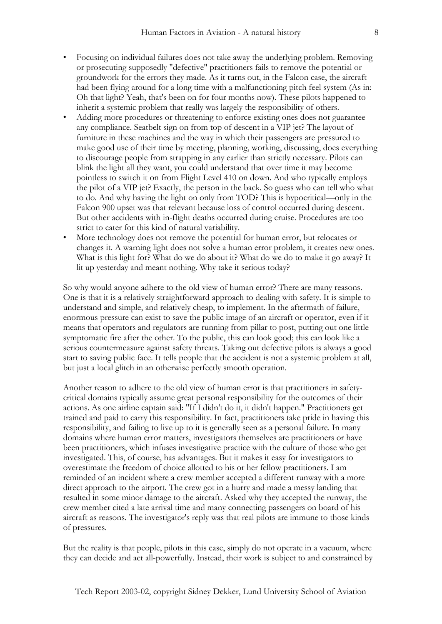- Focusing on individual failures does not take away the underlying problem. Removing or prosecuting supposedly "defective" practitioners fails to remove the potential or groundwork for the errors they made. As it turns out, in the Falcon case, the aircraft had been flying around for a long time with a malfunctioning pitch feel system (As in: Oh that light? Yeah, that's been on for four months now). These pilots happened to inherit a systemic problem that really was largely the responsibility of others.
- Adding more procedures or threatening to enforce existing ones does not guarantee any compliance. Seatbelt sign on from top of descent in a VIP jet? The layout of furniture in these machines and the way in which their passengers are pressured to make good use of their time by meeting, planning, working, discussing, does everything to discourage people from strapping in any earlier than strictly necessary. Pilots can blink the light all they want, you could understand that over time it may become pointless to switch it on from Flight Level 410 on down. And who typically employs the pilot of a VIP jet? Exactly, the person in the back. So guess who can tell who what to do. And why having the light on only from TOD? This is hypocritical—only in the Falcon 900 upset was that relevant because loss of control occurred during descent. But other accidents with in-flight deaths occurred during cruise. Procedures are too strict to cater for this kind of natural variability.
- More technology does not remove the potential for human error, but relocates or changes it. A warning light does not solve a human error problem, it creates new ones. What is this light for? What do we do about it? What do we do to make it go away? It lit up yesterday and meant nothing. Why take it serious today?

So why would anyone adhere to the old view of human error? There are many reasons. One is that it is a relatively straightforward approach to dealing with safety. It is simple to understand and simple, and relatively cheap, to implement. In the aftermath of failure, enormous pressure can exist to save the public image of an aircraft or operator, even if it means that operators and regulators are running from pillar to post, putting out one little symptomatic fire after the other. To the public, this can look good; this can look like a serious countermeasure against safety threats. Taking out defective pilots is always a good start to saving public face. It tells people that the accident is not a systemic problem at all, but just a local glitch in an otherwise perfectly smooth operation.

Another reason to adhere to the old view of human error is that practitioners in safetycritical domains typically assume great personal responsibility for the outcomes of their actions. As one airline captain said: "If I didn't do it, it didn't happen." Practitioners get trained and paid to carry this responsibility. In fact, practitioners take pride in having this responsibility, and failing to live up to it is generally seen as a personal failure. In many domains where human error matters, investigators themselves are practitioners or have been practitioners, which infuses investigative practice with the culture of those who get investigated. This, of course, has advantages. But it makes it easy for investigators to overestimate the freedom of choice allotted to his or her fellow practitioners. I am reminded of an incident where a crew member accepted a different runway with a more direct approach to the airport. The crew got in a hurry and made a messy landing that resulted in some minor damage to the aircraft. Asked why they accepted the runway, the crew member cited a late arrival time and many connecting passengers on board of his aircraft as reasons. The investigator's reply was that real pilots are immune to those kinds of pressures.

But the reality is that people, pilots in this case, simply do not operate in a vacuum, where they can decide and act all-powerfully. Instead, their work is subject to and constrained by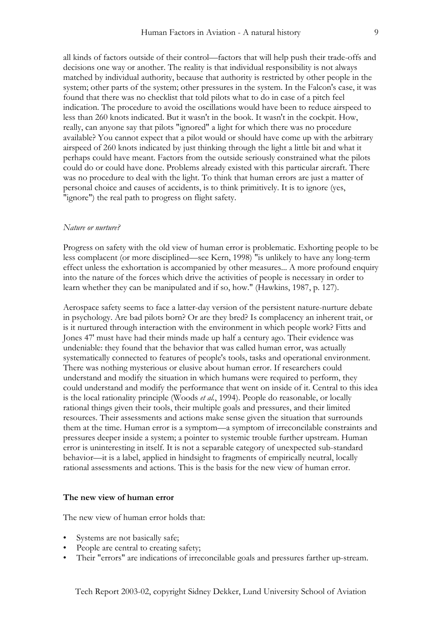all kinds of factors outside of their control—factors that will help push their trade-offs and decisions one way or another. The reality is that individual responsibility is not always matched by individual authority, because that authority is restricted by other people in the system; other parts of the system; other pressures in the system. In the Falcon's case, it was found that there was no checklist that told pilots what to do in case of a pitch feel indication. The procedure to avoid the oscillations would have been to reduce airspeed to less than 260 knots indicated. But it wasn't in the book. It wasn't in the cockpit. How, really, can anyone say that pilots "ignored" a light for which there was no procedure available? You cannot expect that a pilot would or should have come up with the arbitrary airspeed of 260 knots indicated by just thinking through the light a little bit and what it perhaps could have meant. Factors from the outside seriously constrained what the pilots could do or could have done. Problems already existed with this particular aircraft. There was no procedure to deal with the light. To think that human errors are just a matter of personal choice and causes of accidents, is to think primitively. It is to ignore (yes, "ignore") the real path to progress on flight safety.

#### *Nature or nurture?*

Progress on safety with the old view of human error is problematic. Exhorting people to be less complacent (or more disciplined—see Kern, 1998) "is unlikely to have any long-term effect unless the exhortation is accompanied by other measures... A more profound enquiry into the nature of the forces which drive the activities of people is necessary in order to learn whether they can be manipulated and if so, how." (Hawkins, 1987, p. 127).

Aerospace safety seems to face a latter-day version of the persistent nature-nurture debate in psychology. Are bad pilots born? Or are they bred? Is complacency an inherent trait, or is it nurtured through interaction with the environment in which people work? Fitts and Jones 47' must have had their minds made up half a century ago. Their evidence was undeniable: they found that the behavior that was called human error, was actually systematically connected to features of people's tools, tasks and operational environment. There was nothing mysterious or elusive about human error. If researchers could understand and modify the situation in which humans were required to perform, they could understand and modify the performance that went on inside of it. Central to this idea is the local rationality principle (Woods *et al.*, 1994). People do reasonable, or locally rational things given their tools, their multiple goals and pressures, and their limited resources. Their assessments and actions make sense given the situation that surrounds them at the time. Human error is a symptom—a symptom of irreconcilable constraints and pressures deeper inside a system; a pointer to systemic trouble further upstream. Human error is uninteresting in itself. It is not a separable category of unexpected sub-standard behavior—it is a label, applied in hindsight to fragments of empirically neutral, locally rational assessments and actions. This is the basis for the new view of human error.

# **The new view of human error**

The new view of human error holds that:

- Systems are not basically safe;
- People are central to creating safety;
- Their "errors" are indications of irreconcilable goals and pressures farther up-stream.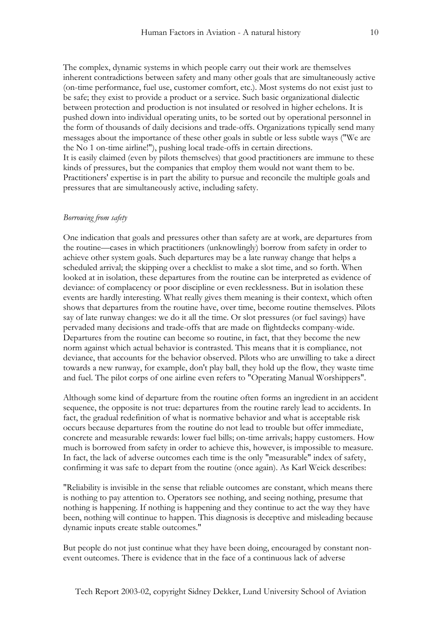The complex, dynamic systems in which people carry out their work are themselves inherent contradictions between safety and many other goals that are simultaneously active (on-time performance, fuel use, customer comfort, etc.). Most systems do not exist just to be safe; they exist to provide a product or a service. Such basic organizational dialectic between protection and production is not insulated or resolved in higher echelons. It is pushed down into individual operating units, to be sorted out by operational personnel in the form of thousands of daily decisions and trade-offs. Organizations typically send many messages about the importance of these other goals in subtle or less subtle ways ("We are the No 1 on-time airline!"), pushing local trade-offs in certain directions. It is easily claimed (even by pilots themselves) that good practitioners are immune to these kinds of pressures, but the companies that employ them would not want them to be. Practitioners' expertise is in part the ability to pursue and reconcile the multiple goals and pressures that are simultaneously active, including safety.

# *Borrowing from safety*

One indication that goals and pressures other than safety are at work, are departures from the routine—cases in which practitioners (unknowlingly) borrow from safety in order to achieve other system goals. Such departures may be a late runway change that helps a scheduled arrival; the skipping over a checklist to make a slot time, and so forth. When looked at in isolation, these departures from the routine can be interpreted as evidence of deviance: of complacency or poor discipline or even recklessness. But in isolation these events are hardly interesting. What really gives them meaning is their context, which often shows that departures from the routine have, over time, become routine themselves. Pilots say of late runway changes: we do it all the time. Or slot pressures (or fuel savings) have pervaded many decisions and trade-offs that are made on flightdecks company-wide. Departures from the routine can become so routine, in fact, that they become the new norm against which actual behavior is contrasted. This means that it is compliance, not deviance, that accounts for the behavior observed. Pilots who are unwilling to take a direct towards a new runway, for example, don't play ball, they hold up the flow, they waste time and fuel. The pilot corps of one airline even refers to "Operating Manual Worshippers".

Although some kind of departure from the routine often forms an ingredient in an accident sequence, the opposite is not true: departures from the routine rarely lead to accidents. In fact, the gradual redefinition of what is normative behavior and what is acceptable risk occurs because departures from the routine do not lead to trouble but offer immediate, concrete and measurable rewards: lower fuel bills; on-time arrivals; happy customers. How much is borrowed from safety in order to achieve this, however, is impossible to measure. In fact, the lack of adverse outcomes each time is the only "measurable" index of safety, confirming it was safe to depart from the routine (once again). As Karl Weick describes:

"Reliability is invisible in the sense that reliable outcomes are constant, which means there is nothing to pay attention to. Operators see nothing, and seeing nothing, presume that nothing is happening. If nothing is happening and they continue to act the way they have been, nothing will continue to happen. This diagnosis is deceptive and misleading because dynamic inputs create stable outcomes."

But people do not just continue what they have been doing, encouraged by constant nonevent outcomes. There is evidence that in the face of a continuous lack of adverse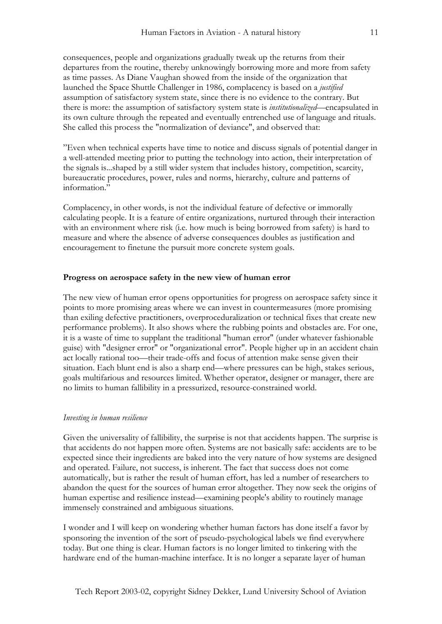consequences, people and organizations gradually tweak up the returns from their departures from the routine, thereby unknowingly borrowing more and more from safety as time passes. As Diane Vaughan showed from the inside of the organization that launched the Space Shuttle Challenger in 1986, complacency is based on a *justified* assumption of satisfactory system state, since there is no evidence to the contrary. But there is more: the assumption of satisfactory system state is *institutionalized*—encapsulated in its own culture through the repeated and eventually entrenched use of language and rituals. She called this process the "normalization of deviance", and observed that:

"Even when technical experts have time to notice and discuss signals of potential danger in a well-attended meeting prior to putting the technology into action, their interpretation of the signals is...shaped by a still wider system that includes history, competition, scarcity, bureaucratic procedures, power, rules and norms, hierarchy, culture and patterns of information."

Complacency, in other words, is not the individual feature of defective or immorally calculating people. It is a feature of entire organizations, nurtured through their interaction with an environment where risk (i.e. how much is being borrowed from safety) is hard to measure and where the absence of adverse consequences doubles as justification and encouragement to finetune the pursuit more concrete system goals.

# **Progress on aerospace safety in the new view of human error**

The new view of human error opens opportunities for progress on aerospace safety since it points to more promising areas where we can invest in countermeasures (more promising than exiling defective practitioners, overproceduralization or technical fixes that create new performance problems). It also shows where the rubbing points and obstacles are. For one, it is a waste of time to supplant the traditional "human error" (under whatever fashionable guise) with "designer error" or "organizational error". People higher up in an accident chain act locally rational too—their trade-offs and focus of attention make sense given their situation. Each blunt end is also a sharp end—where pressures can be high, stakes serious, goals multifarious and resources limited. Whether operator, designer or manager, there are no limits to human fallibility in a pressurized, resource-constrained world.

## *Investing in human resilience*

Given the universality of fallibility, the surprise is not that accidents happen. The surprise is that accidents do not happen more often. Systems are not basically safe: accidents are to be expected since their ingredients are baked into the very nature of how systems are designed and operated. Failure, not success, is inherent. The fact that success does not come automatically, but is rather the result of human effort, has led a number of researchers to abandon the quest for the sources of human error altogether. They now seek the origins of human expertise and resilience instead—examining people's ability to routinely manage immensely constrained and ambiguous situations.

I wonder and I will keep on wondering whether human factors has done itself a favor by sponsoring the invention of the sort of pseudo-psychological labels we find everywhere today. But one thing is clear. Human factors is no longer limited to tinkering with the hardware end of the human-machine interface. It is no longer a separate layer of human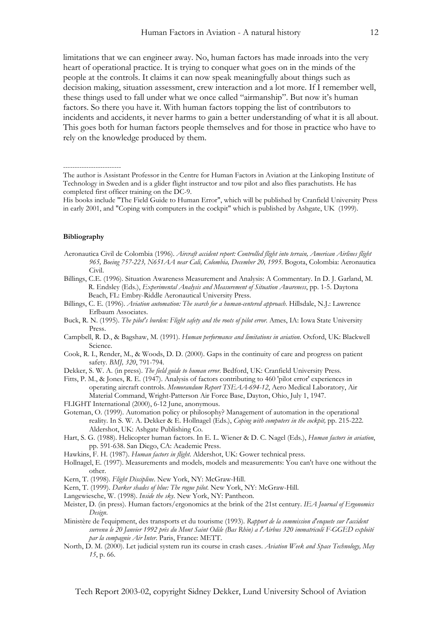limitations that we can engineer away. No, human factors has made inroads into the very heart of operational practice. It is trying to conquer what goes on in the minds of the people at the controls. It claims it can now speak meaningfully about things such as decision making, situation assessment, crew interaction and a lot more. If I remember well, these things used to fall under what we once called "airmanship". But now it's human factors. So there you have it. With human factors topping the list of contributors to incidents and accidents, it never harms to gain a better understanding of what it is all about. This goes both for human factors people themselves and for those in practice who have to rely on the knowledge produced by them.

### **Bibliography**

-------------------------

- Aeronautica Civil de Colombia (1996). *Aircraft accident report: Controlled flight into terrain, American Airlines flight 965, Boeing 757-223, N651AA near Cali, Colombia, December 20, 1995*. Bogota, Colombia: Aeronautica Civil.
- Billings, C.E. (1996). Situation Awareness Measurement and Analysis: A Commentary. In D. J. Garland, M. R. Endsley (Eds.), *Experimental Analysis and Measurement of Situation Awareness*, pp. 1-5. Daytona Beach, FL: Embry-Riddle Aeronautical University Press.
- Billings, C. E. (1996). *Aviation automation: The search for a human-centered approach*. Hillsdale, N.J.: Lawrence Erlbaum Associates.
- Buck, R. N. (1995). *The pilot's burden: Flight safety and the roots of pilot error*. Ames, IA: Iowa State University Press.
- Campbell, R. D., & Bagshaw, M. (1991). *Human performance and limitations in aviation*. Oxford, UK: Blackwell Science.
- Cook, R. I., Render, M., & Woods, D. D. (2000). Gaps in the continuity of care and progress on patient safety. *BMJ, 320*, 791-794.
- Dekker, S. W. A. (in press). *The field guide to human error*. Bedford, UK: Cranfield University Press.
- Fitts, P. M., & Jones, R. E. (1947). Analysis of factors contributing to 460 'pilot error' experiences in operating aircraft controls. *Memorandum Report TSEAA-694-12*, Aero Medical Laboratory, Air Material Command, Wright-Patterson Air Force Base, Dayton, Ohio, July 1, 1947.
- FLIGHT International (2000), 6-12 June, anonymous.
- Goteman, O. (1999). Automation policy or philosophy? Management of automation in the operational reality. In S. W. A. Dekker & E. Hollnagel (Eds.), *Coping with computers in the cockpit,* pp. 215-222. Aldershot, UK: Ashgate Publishing Co.
- Hart, S. G. (1988). Helicopter human factors. In E. L. Wiener & D. C. Nagel (Eds.), *Human factors in aviation*, pp. 591-638. San Diego, CA: Academic Press.
- Hawkins, F. H. (1987). *Human factors in flight*. Aldershot, UK: Gower technical press.
- Hollnagel, E. (1997). Measurements and models, models and measurements: You can't have one without the other.
- Kern, T. (1998). *Flight Discipline*. New York, NY: McGraw-Hill.
- Kern, T. (1999). *Darker shades of blue: The rogue pilot*. New York, NY: McGraw-Hill.
- Langewiesche, W. (1998). *Inside the sky*. New York, NY: Pantheon.
- Meister, D. (in press). Human factors/ergonomics at the brink of the 21st century. *IEA Journal of Ergonomics Design*.
- Ministère de l'equipment, des transports et du tourisme (1993). *Rapport de la commission d'enquete sur l'accident survenu le 20 Janvier 1992 près du Mont Saint Odile (Bas Rhin) a l'Airbus 320 immatriculé F-GGED exploité par la compagnie Air Inter*. Paris, France: METT.
- North, D. M. (2000). Let judicial system run its course in crash cases. *Aviation Week and Space Technology, May 15*, p. 66.

The author is Assistant Professor in the Centre for Human Factors in Aviation at the Linkoping Institute of Technology in Sweden and is a glider flight instructor and tow pilot and also flies parachutists. He has completed first officer training on the DC-9.

His books include "The Field Guide to Human Error", which will be published by Cranfield University Press in early 2001, and "Coping with computers in the cockpit" which is published by Ashgate, UK (1999).